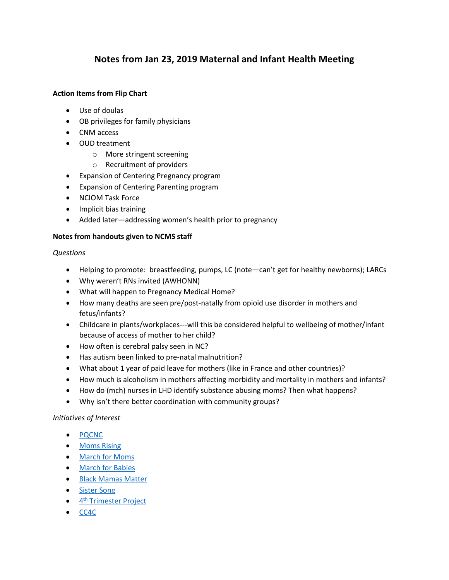# **Notes from Jan 23, 2019 Maternal and Infant Health Meeting**

## **Action Items from Flip Chart**

- Use of doulas
- OB privileges for family physicians
- CNM access
- OUD treatment
	- o More stringent screening
	- o Recruitment of providers
- Expansion of Centering Pregnancy program
- Expansion of Centering Parenting program
- NCIOM Task Force
- Implicit bias training
- Added later—addressing women's health prior to pregnancy

## **Notes from handouts given to NCMS staff**

#### *Questions*

- Helping to promote: breastfeeding, pumps, LC (note—can't get for healthy newborns); LARCs
- Why weren't RNs invited (AWHONN)
- What will happen to Pregnancy Medical Home?
- How many deaths are seen pre/post-natally from opioid use disorder in mothers and fetus/infants?
- Childcare in plants/workplaces---will this be considered helpful to wellbeing of mother/infant because of access of mother to her child?
- How often is cerebral palsy seen in NC?
- Has autism been linked to pre-natal malnutrition?
- What about 1 year of paid leave for mothers (like in France and other countries)?
- How much is alcoholism in mothers affecting morbidity and mortality in mothers and infants?
- How do (mch) nurses in LHD identify substance abusing moms? Then what happens?
- Why isn't there better coordination with community groups?

## *Initiatives of Interest*

- [PQCNC](https://www.pqcnc.org/)
- [Moms Rising](https://www.momsrising.org/)
- [March for Moms](http://www.marchformoms.org/)
- [March for Babies](https://www.marchforbabies.org/?utm_source=google&utm_medium=cpc&utm_campaign=mfb_010119&utm_content=brand&DonationTrackingParam1=mfb_010119_google&gclid=CIO02bbBlOACFRDEswodRIMKKA)
- [Black Mamas Matter](https://blackmamasmatter.org/)
- [Sister Song](https://www.sistersong.net/)
- $\bullet$  4<sup>th</sup> Trimester Project
- [CC4C](https://www.ncdhhs.gov/infant-plan-safe-care/care-coordination-for-children)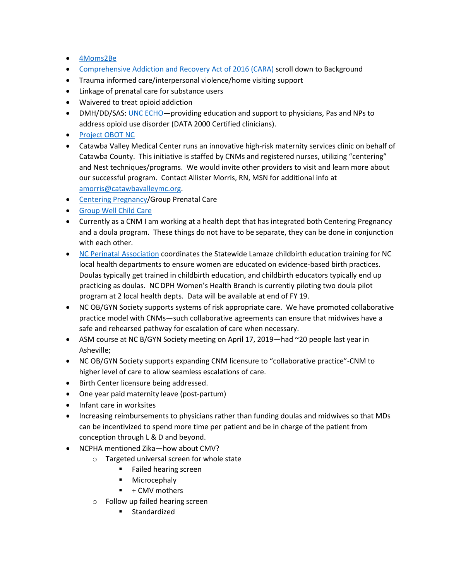- [4Moms2Be](http://4moms2be.com/)
- [Comprehensive Addiction and Recovery Act of 2016 \(CARA\)](https://www.ncdhhs.gov/divisions/mental-health-developmental-disabilities-and-substance-abuse/infant-plan-safe-care) scroll down to Background
- Trauma informed care/interpersonal violence/home visiting support
- Linkage of prenatal care for substance users
- Waivered to treat opioid addiction
- DMH/DD/SAS: [UNC ECHO—](https://echo.unc.edu/)providing education and support to physicians, Pas and NPs to address opioid use disorder (DATA 2000 Certified clinicians).
- [Project OBOT NC](https://projectobot.com/)
- Catawba Valley Medical Center runs an innovative high-risk maternity services clinic on behalf of Catawba County. This initiative is staffed by CNMs and registered nurses, utilizing "centering" and Nest techniques/programs. We would invite other providers to visit and learn more about our successful program. Contact Allister Morris, RN, MSN for additional info at [amorris@catawbavalleymc.org.](mailto:amorris@catawbavalleymc.org)
- Centering [Pregnancy/](https://www.centeringhealthcare.org/what-we-do/centering-pregnancy)Group Prenatal Care
- [Group Well Child Care](http://pediatrics.aappublications.org/content/141/1_MeetingAbstract/41)
- Currently as a CNM I am working at a health dept that has integrated both Centering Pregnancy and a doula program. These things do not have to be separate, they can be done in conjunction with each other.
- [NC Perinatal Association](http://www.ncperinatalassociation.org/) coordinates the Statewide Lamaze childbirth education training for NC local health departments to ensure women are educated on evidence-based birth practices. Doulas typically get trained in childbirth education, and childbirth educators typically end up practicing as doulas. NC DPH Women's Health Branch is currently piloting two doula pilot program at 2 local health depts. Data will be available at end of FY 19.
- NC OB/GYN Society supports systems of risk appropriate care. We have promoted collaborative practice model with CNMs—such collaborative agreements can ensure that midwives have a safe and rehearsed pathway for escalation of care when necessary.
- ASM course at NC B/GYN Society meeting on April 17, 2019—had ~20 people last year in Asheville;
- NC OB/GYN Society supports expanding CNM licensure to "collaborative practice"-CNM to higher level of care to allow seamless escalations of care.
- Birth Center licensure being addressed.
- One year paid maternity leave (post-partum)
- Infant care in worksites
- Increasing reimbursements to physicians rather than funding doulas and midwives so that MDs can be incentivized to spend more time per patient and be in charge of the patient from conception through L & D and beyond.
- NCPHA mentioned Zika—how about CMV?
	- o Targeted universal screen for whole state
		- **Failed hearing screen**
		- **Microcephaly**
		- $+$  CMV mothers
	- o Follow up failed hearing screen
		- **E** Standardized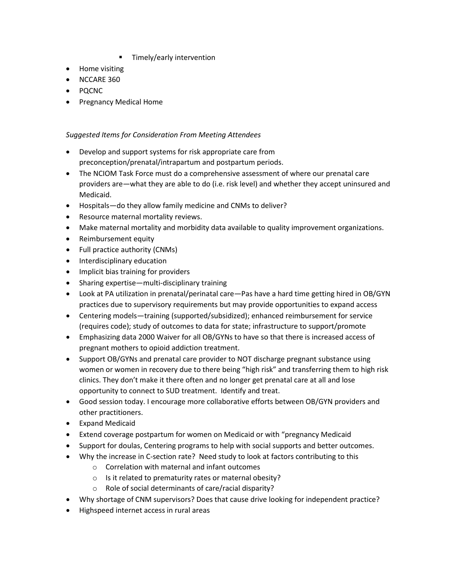- Timely/early intervention
- Home visiting
- NCCARE 360
- PQCNC
- Pregnancy Medical Home

### *Suggested Items for Consideration From Meeting Attendees*

- Develop and support systems for risk appropriate care from preconception/prenatal/intrapartum and postpartum periods.
- The NCIOM Task Force must do a comprehensive assessment of where our prenatal care providers are—what they are able to do (i.e. risk level) and whether they accept uninsured and Medicaid.
- Hospitals—do they allow family medicine and CNMs to deliver?
- Resource maternal mortality reviews.
- Make maternal mortality and morbidity data available to quality improvement organizations.
- Reimbursement equity
- Full practice authority (CNMs)
- Interdisciplinary education
- Implicit bias training for providers
- Sharing expertise—multi-disciplinary training
- Look at PA utilization in prenatal/perinatal care—Pas have a hard time getting hired in OB/GYN practices due to supervisory requirements but may provide opportunities to expand access
- Centering models—training (supported/subsidized); enhanced reimbursement for service (requires code); study of outcomes to data for state; infrastructure to support/promote
- Emphasizing data 2000 Waiver for all OB/GYNs to have so that there is increased access of pregnant mothers to opioid addiction treatment.
- Support OB/GYNs and prenatal care provider to NOT discharge pregnant substance using women or women in recovery due to there being "high risk" and transferring them to high risk clinics. They don't make it there often and no longer get prenatal care at all and lose opportunity to connect to SUD treatment. Identify and treat.
- Good session today. I encourage more collaborative efforts between OB/GYN providers and other practitioners.
- Expand Medicaid
- Extend coverage postpartum for women on Medicaid or with "pregnancy Medicaid
- Support for doulas, Centering programs to help with social supports and better outcomes.
- Why the increase in C-section rate? Need study to look at factors contributing to this
	- o Correlation with maternal and infant outcomes
	- o Is it related to prematurity rates or maternal obesity?
	- o Role of social determinants of care/racial disparity?
- Why shortage of CNM supervisors? Does that cause drive looking for independent practice?
- Highspeed internet access in rural areas